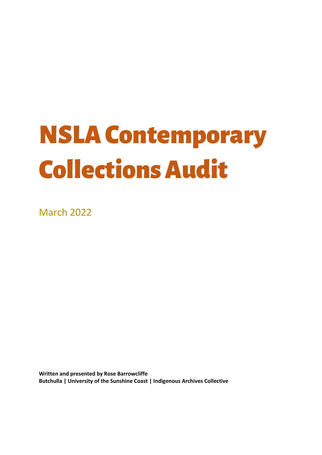# NSLA Contemporary Collections Audit

March 2022

**Written and presented by Rose Barrowcliffe Butchulla | University of the Sunshine Coast | Indigenous Archives Collective**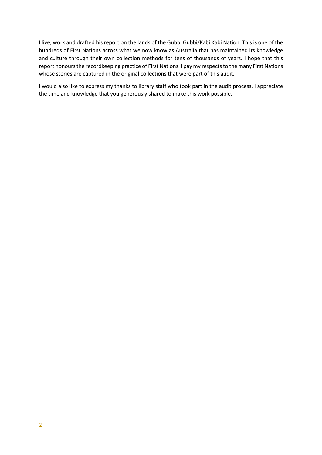I live, work and drafted his report on the lands of the Gubbi Gubbi/Kabi Kabi Nation. This is one of the hundreds of First Nations across what we now know as Australia that has maintained its knowledge and culture through their own collection methods for tens of thousands of years. I hope that this report honours the recordkeeping practice of First Nations. I pay my respects to the many First Nations whose stories are captured in the original collections that were part of this audit.

I would also like to express my thanks to library staff who took part in the audit process. I appreciate the time and knowledge that you generously shared to make this work possible.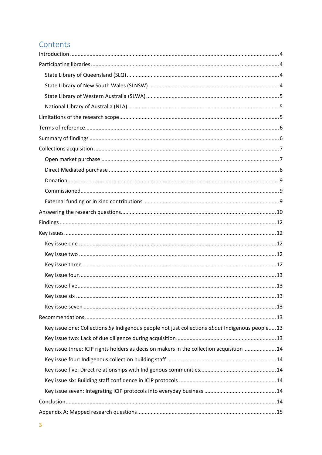## Contents

| Key issue one: Collections by Indigenous people not just collections about Indigenous people13 |  |
|------------------------------------------------------------------------------------------------|--|
|                                                                                                |  |
| Key issue three: ICIP rights holders as decision makers in the collection acquisition 14       |  |
|                                                                                                |  |
|                                                                                                |  |
|                                                                                                |  |
|                                                                                                |  |
|                                                                                                |  |
|                                                                                                |  |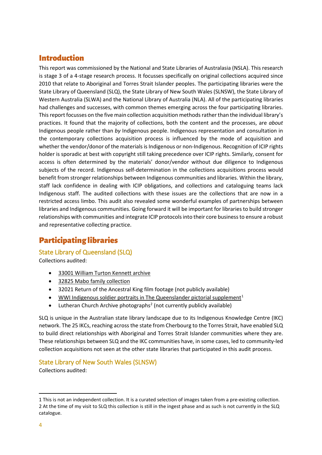## <span id="page-3-0"></span>Introduction

This report was commissioned by the National and State Libraries of Australasia (NSLA). This research is stage 3 of a 4-stage research process. It focusses specifically on original collections acquired since 2010 that relate to Aboriginal and Torres Strait Islander peoples. The participating libraries were the State Library of Queensland (SLQ), the State Library of New South Wales (SLNSW), the State Library of Western Australia (SLWA) and the National Library of Australia (NLA). All of the participating libraries had challenges and successes, with common themes emerging across the four participating libraries. This report focusses on the five main collection acquisition methods rather than the individual library's practices. It found that the majority of collections, both the content and the processes, are *about* Indigenous people rather than *by* Indigenous people. Indigenous representation and consultation in the contemporary collections acquisition process is influenced by the mode of acquisition and whether the vendor/donor of the materials is Indigenous or non-Indigenous. Recognition of ICIP rights holder is sporadic at best with copyright still taking precedence over ICIP rights. Similarly, consent for access is often determined by the materials' donor/vendor without due diligence to Indigenous subjects of the record. Indigenous self-determination in the collections acquisitions process would benefit from stronger relationships between Indigenous communities and libraries. Within the library, staff lack confidence in dealing with ICIP obligations, and collections and cataloguing teams lack Indigenous staff. The audited collections with these issues are the collections that are now in a restricted access limbo. This audit also revealed some wonderful examples of partnerships between libraries and Indigenous communities. Going forward it will be important for libraries to build stronger relationships with communities and integrate ICIP protocols into their core business to ensure a robust and representative collecting practice.

## <span id="page-3-1"></span>Participating libraries

## <span id="page-3-2"></span>State Library of Queensland (SLQ)

Collections audited:

- [33001 William Turton Kennett archive](http://onesearch.slq.qld.gov.au/primo-explore/fulldisplay?docid=slq_alma21288075220002061&vid=SLQ&search_scope=SLQ_PCI_EBSCO&tab=all&lang=en_US&context=L)
- [32825 Mabo family collection](http://onesearch.slq.qld.gov.au/permalink/f/1oppkg1/slq_alma21282184440002061)
- 32021 Return of the Ancestral King film footage (not publicly available)
- [WWI Indigenous soldier portraits in The Queenslander pictorial supplement](https://www.slq.qld.gov.au/research-collections/queensland/century-service/aboriginal-and-torres-strait-islander-service)<sup>[1](#page-3-4)</sup>
- Lutheran Church Archive photographs<sup>[2](#page-3-5)</sup> (not currently publicly available)

SLQ is unique in the Australian state library landscape due to its Indigenous Knowledge Centre (IKC) network. The 25 IKCs, reaching across the state from Cherbourg to the Torres Strait, have enabled SLQ to build direct relationships with Aboriginal and Torres Strait Islander communities where they are. These relationships between SLQ and the IKC communities have, in some cases, led to community-led collection acquisitions not seen at the other state libraries that participated in this audit process.

## <span id="page-3-3"></span>State Library of New South Wales (SLNSW)

Collections audited:

 $\overline{a}$ 

<span id="page-3-5"></span><span id="page-3-4"></span><sup>1</sup> This is not an independent collection. It is a curated selection of images taken from a pre-existing collection. 2 At the time of my visit to SLQ this collection is still in the ingest phase and as such is not currently in the SLQ catalogue.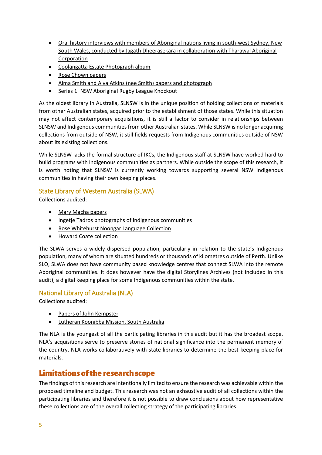- [Oral history interviews with members of Aboriginal nations living in south-west Sydney, New](https://collection.sl.nsw.gov.au/record/nZNW3MQn)  [South Wales, conducted by Jagath Dheerasekara in collaboration with Tharawal Aboriginal](https://collection.sl.nsw.gov.au/record/nZNW3MQn)  [Corporation](https://collection.sl.nsw.gov.au/record/nZNW3MQn)
- [Coolangatta Estate Photograph album](https://collection.sl.nsw.gov.au/record/9PQ8KBNn)
- [Rose Chown papers](https://collection.sl.nsw.gov.au/record/1bGdoRMY)
- [Alma Smith and Alva Atkins \(nee Smith\) papers and photograph](https://collection.sl.nsw.gov.au/record/16AJd3Vn)
- [Series 1: NSW Aboriginal Rugby League Knockout](https://collection.sl.nsw.gov.au/record/92eVMqyY)

As the oldest library in Australia, SLNSW is in the unique position of holding collections of materials from other Australian states, acquired prior to the establishment of those states. While this situation may not affect contemporary acquisitions, it is still a factor to consider in relationships between SLNSW and Indigenous communities from other Australian states. While SLNSW is no longer acquiring collections from outside of NSW, it still fields requests from Indigenous communities outside of NSW about its existing collections.

While SLNSW lacks the formal structure of IKCs, the Indigenous staff at SLNSW have worked hard to build programs with Indigenous communities as partners. While outside the scope of this research, it is worth noting that SLNSW is currently working towards supporting several NSW Indigenous communities in having their own keeping places.

## <span id="page-4-0"></span>State Library of Western Australia (SLWA)

Collections audited:

- [Mary Macha papers](https://encore.slwa.wa.gov.au/iii/encore/record/C__Rb5739897?lang=eng)
- [Ingetje Tadros photographs of indigenous communities](https://encore.slwa.wa.gov.au/iii/encore/record/C__Rb4869749?lang=eng&ivts=O%2B201Asr9kY1Y4HW8%2B%2Fkwg%3D%3D&casts=ZTMwq%2Fr5E%2BsJqGblReMKCA%3D%3D)
- [Rose Whitehurst Noongar Language Collection](https://encore.slwa.wa.gov.au/iii/encore/record/C__Rb6039979?lang=eng)
- Howard Coate collection

The SLWA serves a widely dispersed population, particularly in relation to the state's Indigenous population, many of whom are situated hundreds or thousands of kilometres outside of Perth. Unlike SLQ, SLWA does not have community based knowledge centres that connect SLWA into the remote Aboriginal communities. It does however have the digital Storylines Archives (not included in this audit), a digital keeping place for some Indigenous communities within the state.

## <span id="page-4-1"></span>National Library of Australia (NLA)

Collections audited:

- [Papers of John Kempster](https://catalogue.nla.gov.au/Record/6493438)
- [Lutheran Koonibba Mission, South Australia](https://catalogue.nla.gov.au/Record/6159557)

The NLA is the youngest of all the participating libraries in this audit but it has the broadest scope. NLA's acquisitions serve to preserve stories of national significance into the permanent memory of the country. NLA works collaboratively with state libraries to determine the best keeping place for materials.

## <span id="page-4-2"></span>Limitations of the research scope

The findings of this research are intentionally limited to ensure the research was achievable within the proposed timeline and budget. This research was not an exhaustive audit of all collections within the participating libraries and therefore it is not possible to draw conclusions about how representative these collections are of the overall collecting strategy of the participating libraries.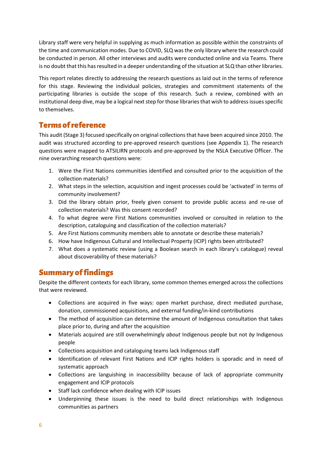Library staff were very helpful in supplying as much information as possible within the constraints of the time and communication modes. Due to COVID, SLQ was the only library where the research could be conducted in person. All other interviews and audits were conducted online and via Teams. There is no doubt that this has resulted in a deeper understanding of the situation at SLQ than other libraries.

This report relates directly to addressing the research questions as laid out in the terms of reference for this stage. Reviewing the individual policies, strategies and commitment statements of the participating libraries is outside the scope of this research. Such a review, combined with an institutional deep dive, may be a logical next step for those libraries that wish to address issues specific to themselves.

## <span id="page-5-0"></span>Terms of reference

This audit (Stage 3) focused specifically on original collections that have been acquired since 2010. The audit was structured according to pre-approved research questions (see Appendix 1). The research questions were mapped to ATSILIRN protocols and pre-approved by the NSLA Executive Officer. The nine overarching research questions were:

- 1. Were the First Nations communities identified and consulted prior to the acquisition of the collection materials?
- 2. What steps in the selection, acquisition and ingest processes could be 'activated' in terms of community involvement?
- 3. Did the library obtain prior, freely given consent to provide public access and re-use of collection materials? Was this consent recorded?
- 4. To what degree were First Nations communities involved or consulted in relation to the description, cataloguing and classification of the collection materials?
- 5. Are First Nations community members able to annotate or describe these materials?
- 6. How have Indigenous Cultural and Intellectual Property (ICIP) rights been attributed?
- 7. What does a systematic review (using a Boolean search in each library's catalogue) reveal about discoverability of these materials?

## <span id="page-5-1"></span>Summary of findings

Despite the different contexts for each library, some common themes emerged across the collections that were reviewed.

- Collections are acquired in five ways: open market purchase, direct mediated purchase, donation, commissioned acquisitions, and external funding/in-kind contributions
- The method of acquisition can determine the amount of Indigenous consultation that takes place prior to, during and after the acquisition
- Materials acquired are still overwhelmingly *about* Indigenous people but not *by* Indigenous people
- Collections acquisition and cataloguing teams lack Indigenous staff
- Identification of relevant First Nations and ICIP rights holders is sporadic and in need of systematic approach
- Collections are languishing in inaccessibility because of lack of appropriate community engagement and ICIP protocols
- Staff lack confidence when dealing with ICIP issues
- Underpinning these issues is the need to build direct relationships with Indigenous communities as partners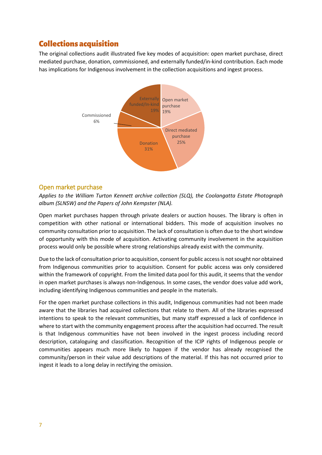## <span id="page-6-0"></span>Collections acquisition

The original collections audit illustrated five key modes of acquisition: open market purchase, direct mediated purchase, donation, commissioned, and externally funded/in-kind contribution. Each mode has implications for Indigenous involvement in the collection acquisitions and ingest process.



### <span id="page-6-1"></span>Open market purchase

*Applies to the William Turton Kennett archive collection (SLQ), the Coolangatta Estate Photograph album (SLNSW) and the Papers of John Kempster (NLA).*

Open market purchases happen through private dealers or auction houses. The library is often in competition with other national or international bidders. This mode of acquisition involves no community consultation prior to acquisition. The lack of consultation is often due to the short window of opportunity with this mode of acquisition. Activating community involvement in the acquisition process would only be possible where strong relationships already exist with the community.

Due to the lack of consultation prior to acquisition, consent for public access is not sought nor obtained from Indigenous communities prior to acquisition. Consent for public access was only considered within the framework of copyright. From the limited data pool for this audit, it seems that the vendor in open market purchases is always non-Indigenous. In some cases, the vendor does value add work, including identifying Indigenous communities and people in the materials.

For the open market purchase collections in this audit, Indigenous communities had not been made aware that the libraries had acquired collections that relate to them. All of the libraries expressed intentions to speak to the relevant communities, but many staff expressed a lack of confidence in where to start with the community engagement process after the acquisition had occurred. The result is that Indigenous communities have not been involved in the ingest process including record description, cataloguing and classification. Recognition of the ICIP rights of Indigenous people or communities appears much more likely to happen if the vendor has already recognised the community/person in their value add descriptions of the material. If this has not occurred prior to ingest it leads to a long delay in rectifying the omission.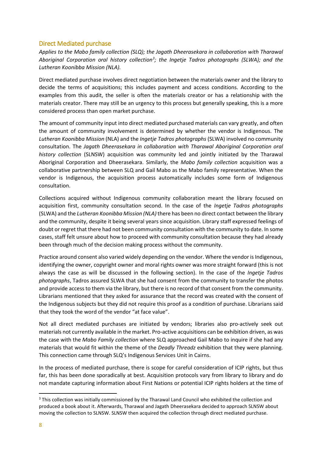## <span id="page-7-0"></span>Direct Mediated purchase

*Applies to the Mabo family collection (SLQ); the Jagath Dheerasekara in collaboration with Tharawal Aboriginal Corporation oral history collectio[n3](#page-7-1) ; the Ingetje Tadros photographs (SLWA); and the Lutheran Koonibba Mission (NLA).*

Direct mediated purchase involves direct negotiation between the materials owner and the library to decide the terms of acquisitions; this includes payment and access conditions. According to the examples from this audit, the seller is often the materials creator or has a relationship with the materials creator. There may still be an urgency to this process but generally speaking, this is a more considered process than open market purchase.

The amount of community input into direct mediated purchased materials can vary greatly, and often the amount of community involvement is determined by whether the vendor is Indigenous. The *Lutheran Koonibba Mission* (NLA) and the *Ingetje Tadros photographs* (SLWA) involved no community consultation. The *Jagath Dheerasekara in collaboration with Tharawal Aboriginal Corporation oral history collection* (SLNSW) acquisition was community led and jointly initiated by the Tharawal Aboriginal Corporation and Dheerasekara. Similarly, the *Mabo family collection* acquisition was a collaborative partnership between SLQ and Gail Mabo as the Mabo family representative. When the vendor is Indigenous, the acquisition process automatically includes some form of Indigenous consultation.

Collections acquired without Indigenous community collaboration meant the library focused on acquisition first, community consultation second. In the case of the *Ingetje Tadros photographs*  (SLWA) and the *Lutheran Koonibba Mission (NLA)* there has been no direct contact between the library and the community, despite it being several years since acquisition. Library staff expressed feelings of doubt or regret that there had not been community consultation with the community to date. In some cases, staff felt unsure about how to proceed with community consultation because they had already been through much of the decision making process without the community.

Practice around consent also varied widely depending on the vendor. Where the vendor is Indigenous, identifying the owner, copyright owner and moral rights owner was more straight forward (this is not always the case as will be discussed in the following section). In the case of the *Ingetje Tadros photographs*, Tadros assured SLWA that she had consent from the community to transfer the photos and provide access to them via the library, but there is no record of that consent from the community. Librarians mentioned that they asked for assurance that the record was created with the consent of the Indigenous subjects but they did not require this proof as a condition of purchase. Librarians said that they took the word of the vendor "at face value".

Not all direct mediated purchases are initiated by vendors; libraries also pro-actively seek out materials not currently available in the market. Pro-active acquisitions can be exhibition driven, as was the case with the *Mabo Family collection* where SLQ approached Gail Mabo to inquire if she had any materials that would fit within the theme of the *Deadly Threadz* exhibition that they were planning. This connection came through SLQ's Indigenous Services Unit in Cairns.

In the process of mediated purchase, there is scope for careful consideration of ICIP rights, but thus far, this has been done sporadically at best. Acquisition protocols vary from library to library and do not mandate capturing information about First Nations or potential ICIP rights holders at the time of

<span id="page-7-1"></span><sup>&</sup>lt;sup>3</sup> This collection was initially commissioned by the Tharawal Land Council who exhibited the collection and produced a book about it. Afterwards, Tharawal and Jagath Dheerasekara decided to approach SLNSW about moving the collection to SLNSW. SLNSW then acquired the collection through direct mediated purchase.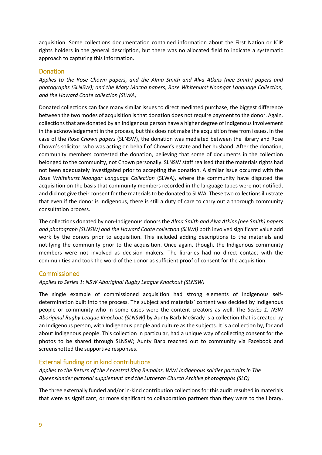acquisition. Some collections documentation contained information about the First Nation or ICIP rights holders in the general description, but there was no allocated field to indicate a systematic approach to capturing this information.

#### <span id="page-8-0"></span>Donation

*Applies to the Rose Chown papers, and the Alma Smith and Alva Atkins (nee Smith) papers and photographs (SLNSW); and the Mary Macha papers, Rose Whitehurst Noongar Language Collection, and the Howard Coate collection (SLWA)*

Donated collections can face many similar issues to direct mediated purchase, the biggest difference between the two modes of acquisition is that donation does not require payment to the donor. Again, collections that are donated by an Indigenous person have a higher degree of Indigenous involvement in the acknowledgement in the process, but this does not make the acquisition free from issues. In the case of the *Rose Chown papers* (SLNSW), the donation was mediated between the library and Rose Chown's solicitor, who was acting on behalf of Chown's estate and her husband. After the donation, community members contested the donation, believing that some of documents in the collection belonged to the community, not Chown personally. SLNSW staff realised that the materials rights had not been adequately investigated prior to accepting the donation. A similar issue occurred with the *Rose Whitehurst Noongar Language Collection* (SLWA), where the community have disputed the acquisition on the basis that community members recorded in the language tapes were not notified, and did not give their consent for the materials to be donated to SLWA. These two collections illustrate that even if the donor is Indigenous, there is still a duty of care to carry out a thorough community consultation process.

The collections donated by non-Indigenous donors the *Alma Smith and Alva Atkins (nee Smith) papers and photograph (SLNSW) and the Howard Coate collection (SLWA)* both involved significant value add work by the donors prior to acquisition. This included adding descriptions to the materials and notifying the community prior to the acquisition. Once again, though, the Indigenous community members were not involved as decision makers. The libraries had no direct contact with the communities and took the word of the donor as sufficient proof of consent for the acquisition.

### <span id="page-8-1"></span>Commissioned

#### *Applies to Series 1: NSW Aboriginal Rugby League Knockout (SLNSW)*

The single example of commissioned acquisition had strong elements of Indigenous selfdetermination built into the process. The subject and materials' content was decided by Indigenous people or community who in some cases were the content creators as well. The *Series 1: NSW Aboriginal Rugby League Knockout (SLNSW)* by Aunty Barb McGrady is a collection that is created by an Indigenous person, with Indigenous people and culture as the subjects. It is a collection by, for and about Indigenous people. This collection in particular, had a unique way of collecting consent for the photos to be shared through SLNSW; Aunty Barb reached out to community via Facebook and screenshotted the supportive responses.

### <span id="page-8-2"></span>External funding or in kind contributions

*Applies to the Return of the Ancestral King Remains, WWI Indigenous soldier portraits in The Queenslander pictorial supplement and the Lutheran Church Archive photographs (SLQ)*

The three externally funded and/or in-kind contribution collections for this audit resulted in materials that were as significant, or more significant to collaboration partners than they were to the library.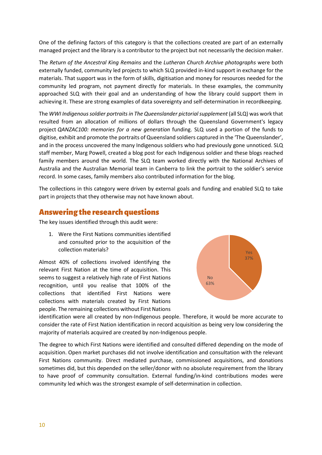One of the defining factors of this category is that the collections created are part of an externally managed project and the library is a contributor to the project but not necessarily the decision maker.

The *Return of the Ancestral King Remains* and the *Lutheran Church Archive photographs* were both externally funded, community led projects to which SLQ provided in-kind support in exchange for the materials. That support was in the form of skills, digitisation and money for resources needed for the community led program, not payment directly for materials. In these examples, the community approached SLQ with their goal and an understanding of how the library could support them in achieving it. These are strong examples of data sovereignty and self-determination in recordkeeping.

The *WWI Indigenous soldier portraits in The Queenslander pictorial supplement* (all SLQ) was work that resulted from an allocation of millions of dollars through the Queensland Government's legacy project *QANZAC100: memories for a new generation* funding. SLQ used a portion of the funds to digitise, exhibit and promote the portraits of Queensland soldiers captured in the 'The Queenslander', and in the process uncovered the many Indigenous soldiers who had previously gone unnoticed. SLQ staff member, Marg Powell, created a blog post for each Indigenous soldier and these blogs reached family members around the world. The SLQ team worked directly with the National Archives of Australia and the Australian Memorial team in Canberra to link the portrait to the soldier's service record. In some cases, family members also contributed information for the blog.

The collections in this category were driven by external goals and funding and enabled SLQ to take part in projects that they otherwise may not have known about.

## <span id="page-9-0"></span>Answering the research questions

The key issues identified through this audit were:

1. Were the First Nations communities identified and consulted prior to the acquisition of the collection materials?

Almost 40% of collections involved identifying the relevant First Nation at the time of acquisition. This seems to suggest a relatively high rate of First Nations recognition, until you realise that 100% of the collections that identified First Nations were collections with materials created by First Nations people. The remaining collections without First Nations



identification were all created by non-Indigenous people. Therefore, it would be more accurate to consider the rate of First Nation identification in record acquisition as being very low considering the majority of materials acquired are created by non-Indigenous people.

The degree to which First Nations were identified and consulted differed depending on the mode of acquisition. Open market purchases did not involve identification and consultation with the relevant First Nations community. Direct mediated purchase, commissioned acquisitions, and donations sometimes did, but this depended on the seller/donor with no absolute requirement from the library to have proof of community consultation. External funding/in-kind contributions modes were community led which was the strongest example of self-determination in collection.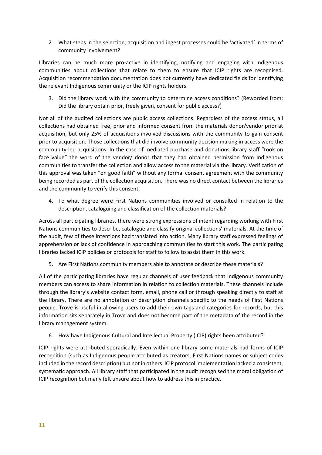2. What steps in the selection, acquisition and ingest processes could be 'activated' in terms of community involvement?

Libraries can be much more pro-active in identifying, notifying and engaging with Indigenous communities about collections that relate to them to ensure that ICIP rights are recognised. Acquisition recommendation documentation does not currently have dedicated fields for identifying the relevant Indigenous community or the ICIP rights holders.

3. Did the library work with the community to determine access conditions? (Reworded from: Did the library obtain prior, freely given, consent for public access?)

Not all of the audited collections are public access collections. Regardless of the access status, all collections had obtained free, prior and informed consent from the materials donor/vendor prior at acquisition, but only 25% of acquisitions involved discussions with the community to gain consent prior to acquisition. Those collections that did involve community decision making in access were the community-led acquisitions. In the case of mediated purchase and donations library staff "took on face value" the word of the vendor/ donor that they had obtained permission from Indigenous communities to transfer the collection and allow access to the material via the library. Verification of this approval was taken "on good faith" without any formal consent agreement with the community being recorded as part of the collection acquisition. There was no direct contact between the libraries and the community to verify this consent.

4. To what degree were First Nations communities involved or consulted in relation to the description, cataloguing and classification of the collection materials?

Across all participating libraries, there were strong expressions of intent regarding working with First Nations communities to describe, catalogue and classify original collections' materials. At the time of the audit, few of these intentions had translated into action. Many library staff expressed feelings of apprehension or lack of confidence in approaching communities to start this work. The participating libraries lacked ICIP policies or protocols for staff to follow to assist them in this work.

5. Are First Nations community members able to annotate or describe these materials?

All of the participating libraries have regular channels of user feedback that Indigenous community members can access to share information in relation to collection materials. These channels include through the library's website contact form, email, phone call or through speaking directly to staff at the library. There are no annotation or description channels specific to the needs of First Nations people. Trove is useful in allowing users to add their own tags and categories for records, but this information sits separately in Trove and does not become part of the metadata of the record in the library management system.

6. How have Indigenous Cultural and Intellectual Property (ICIP) rights been attributed?

ICIP rights were attributed sporadically. Even within one library some materials had forms of ICIP recognition (such as Indigenous people attributed as creators, First Nations names or subject codes included in the record description) but not in others. ICIP protocol implementation lacked a consistent, systematic approach. All library staff that participated in the audit recognised the moral obligation of ICIP recognition but many felt unsure about how to address this in practice.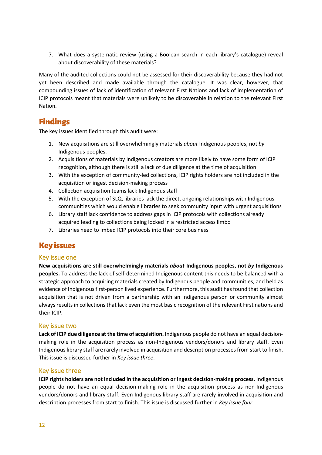7. What does a systematic review (using a Boolean search in each library's catalogue) reveal about discoverability of these materials?

Many of the audited collections could not be assessed for their discoverability because they had not yet been described and made available through the catalogue. It was clear, however, that compounding issues of lack of identification of relevant First Nations and lack of implementation of ICIP protocols meant that materials were unlikely to be discoverable in relation to the relevant First Nation.

## <span id="page-11-0"></span>Findings

The key issues identified through this audit were:

- 1. New acquisitions are still overwhelmingly materials *about* Indigenous peoples, not *by* Indigenous peoples.
- 2. Acquisitions of materials by Indigenous creators are more likely to have some form of ICIP recognition, although there is still a lack of due diligence at the time of acquisition
- 3. With the exception of community-led collections, ICIP rights holders are not included in the acquisition or ingest decision-making process
- 4. Collection acquisition teams lack Indigenous staff
- 5. With the exception of SLQ, libraries lack the direct, ongoing relationships with Indigenous communities which would enable libraries to seek community input with urgent acquisitions
- 6. Library staff lack confidence to address gaps in ICIP protocols with collections already acquired leading to collections being locked in a restricted access limbo
- 7. Libraries need to imbed ICIP protocols into their core business

## <span id="page-11-1"></span>Key issues

### <span id="page-11-2"></span>Key issue one

**New acquisitions are still overwhelmingly materials** *about* **Indigenous peoples, not** *by* **Indigenous peoples.** To address the lack of self-determined Indigenous content this needs to be balanced with a strategic approach to acquiring materials created by Indigenous people and communities, and held as evidence of Indigenous first-person lived experience. Furthermore, this audit has found that collection acquisition that is not driven from a partnership with an Indigenous person or community almost always results in collections that lack even the most basic recognition of the relevant First nations and their ICIP.

### <span id="page-11-3"></span>Key issue two

**Lack of ICIP due diligence at the time of acquisition.** Indigenous people do not have an equal decisionmaking role in the acquisition process as non-Indigenous vendors/donors and library staff. Even Indigenous library staff are rarely involved in acquisition and description processes from start to finish. This issue is discussed further in *Key issue three*.

### <span id="page-11-4"></span>Key issue three

**ICIP rights holders are not included in the acquisition or ingest decision-making process.** Indigenous people do not have an equal decision-making role in the acquisition process as non-Indigenous vendors/donors and library staff. Even Indigenous library staff are rarely involved in acquisition and description processes from start to finish. This issue is discussed further in *Key issue four*.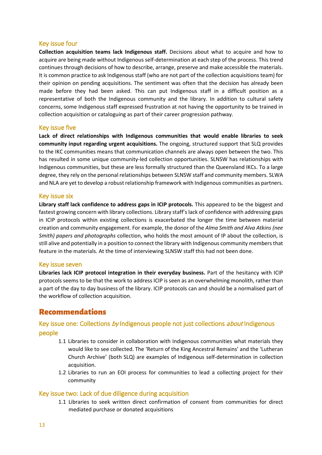## <span id="page-12-0"></span>Key issue four

**Collection acquisition teams lack Indigenous staff.** Decisions about what to acquire and how to acquire are being made without Indigenous self-determination at each step of the process. This trend continues through decisions of how to describe, arrange, preserve and make accessible the materials. It is common practice to ask Indigenous staff (who are not part of the collection acquisitions team) for their opinion on pending acquisitions. The sentiment was often that the decision has already been made before they had been asked. This can put Indigenous staff in a difficult position as a representative of both the Indigenous community and the library. In addition to cultural safety concerns, some Indigenous staff expressed frustration at not having the opportunity to be trained in collection acquisition or cataloguing as part of their career progression pathway.

## <span id="page-12-1"></span>Key issue five

**Lack of direct relationships with Indigenous communities that would enable libraries to seek community input regarding urgent acquisitions.** The ongoing, structured support that SLQ provides to the IKC communities means that communication channels are always open between the two. This has resulted in some unique community-led collection opportunities. SLNSW has relationships with Indigenous communities, but these are less formally structured than the Queensland IKCs. To a large degree, they rely on the personal relationships between SLNSW staff and community members. SLWA and NLA are yet to develop a robust relationship framework with Indigenous communities as partners.

### <span id="page-12-2"></span>Key issue six

**Library staff lack confidence to address gaps in ICIP protocols.** This appeared to be the biggest and fastest growing concern with library collections. Library staff's lack of confidence with addressing gaps in ICIP protocols within existing collections is exacerbated the longer the time between material creation and community engagement. For example, the donor of the *Alma Smith and Alva Atkins (nee Smith) papers and photographs* collection, who holds the most amount of IP about the collection, is still alive and potentially in a position to connect the library with Indigenous community members that feature in the materials. At the time of interviewing SLNSW staff this had not been done.

### <span id="page-12-3"></span>Key issue seven

**Libraries lack ICIP protocol integration in their everyday business.** Part of the hesitancy with ICIP protocols seems to be that the work to address ICIP is seen as an overwhelming monolith, rather than a part of the day to day business of the library. ICIP protocols can and should be a normalised part of the workflow of collection acquisition.

## <span id="page-12-4"></span>Recommendations

## <span id="page-12-5"></span>Key issue one: Collections by Indigenous people not just collections *about* Indigenous people

- 1.1 Libraries to consider in collaboration with Indigenous communities what materials they would like to see collected. The 'Return of the King Ancestral Remains' and the 'Lutheran Church Archive' (both SLQ) are examples of Indigenous self-determination in collection acquisition.
- 1.2 Libraries to run an EOI process for communities to lead a collecting project for their community

### <span id="page-12-6"></span>Key issue two: Lack of due diligence during acquisition

1.1 Libraries to seek written direct confirmation of consent from communities for direct mediated purchase or donated acquisitions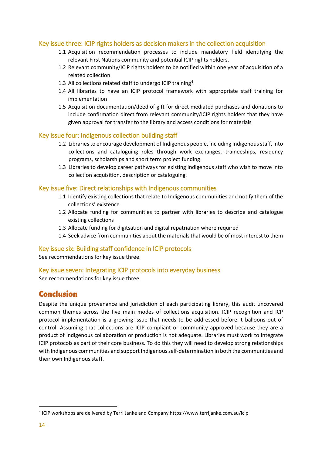## <span id="page-13-0"></span>Key issue three: ICIP rights holders as decision makers in the collection acquisition

- 1.1 Acquisition recommendation processes to include mandatory field identifying the relevant First Nations community and potential ICIP rights holders.
- 1.2 Relevant community/ICIP rights holders to be notified within one year of acquisition of a related collection
- 1.3 All collections related staff to undergo ICIP training<sup>[4](#page-13-6)</sup>
- 1.4 All libraries to have an ICIP protocol framework with appropriate staff training for implementation
- 1.5 Acquisition documentation/deed of gift for direct mediated purchases and donations to include confirmation direct from relevant community/ICIP rights holders that they have given approval for transfer to the library and access conditions for materials

### <span id="page-13-1"></span>Key issue four: Indigenous collection building staff

- 1.2 Libraries to encourage development of Indigenous people, including Indigenous staff, into collections and cataloguing roles through work exchanges, traineeships, residency programs, scholarships and short term project funding
- 1.3 Libraries to develop career pathways for existing Indigenous staff who wish to move into collection acquisition, description or cataloguing.

### <span id="page-13-2"></span>Key issue five: Direct relationships with Indigenous communities

- 1.1 Identify existing collections that relate to Indigenous communities and notify them of the collections' existence
- 1.2 Allocate funding for communities to partner with libraries to describe and catalogue existing collections
- 1.3 Allocate funding for digitsation and digital repatriation where required
- 1.4 Seek advice from communities about the materials that would be of most interest to them

### <span id="page-13-3"></span>Key issue six: Building staff confidence in ICIP protocols

See recommendations for key issue three.

### <span id="page-13-4"></span>Key issue seven: Integrating ICIP protocols into everyday business

See recommendations for key issue three.

## <span id="page-13-5"></span>Conclusion

Despite the unique provenance and jurisdiction of each participating library, this audit uncovered common themes across the five main modes of collections acquisition. ICIP recognition and ICP protocol implementation is a growing issue that needs to be addressed before it balloons out of control. Assuming that collections are ICIP compliant or community approved because they are a product of Indigenous collaboration or production is not adequate. Libraries must work to integrate ICIP protocols as part of their core business. To do this they will need to develop strong relationships with Indigenous communities and support Indigenous self-determination in both the communities and their own Indigenous staff.

<span id="page-13-6"></span> <sup>4</sup> ICIP workshops are delivered by Terri Janke and Company https://www.terrijanke.com.au/icip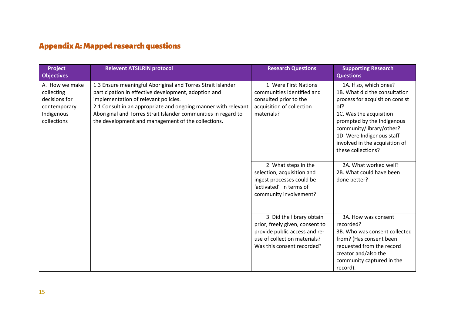# Appendix A: Mapped research questions

<span id="page-14-0"></span>

| Project<br><b>Objectives</b>                                                               | <b>Relevent ATSILRIN protocol</b>                                                                                                                                                                                                                                                                                                                     | <b>Research Questions</b>                                                                                                                                   | <b>Supporting Research</b><br><b>Questions</b>                                                                                                                                                                                                                              |
|--------------------------------------------------------------------------------------------|-------------------------------------------------------------------------------------------------------------------------------------------------------------------------------------------------------------------------------------------------------------------------------------------------------------------------------------------------------|-------------------------------------------------------------------------------------------------------------------------------------------------------------|-----------------------------------------------------------------------------------------------------------------------------------------------------------------------------------------------------------------------------------------------------------------------------|
| A. How we make<br>collecting<br>decisions for<br>contemporary<br>Indigenous<br>collections | 1.3 Ensure meaningful Aboriginal and Torres Strait Islander<br>participation in effective development, adoption and<br>implementation of relevant policies.<br>2.1 Consult in an appropriate and ongoing manner with relevant<br>Aboriginal and Torres Strait Islander communities in regard to<br>the development and management of the collections. | 1. Were First Nations<br>communities identified and<br>consulted prior to the<br>acquisition of collection<br>materials?                                    | 1A. If so, which ones?<br>1B. What did the consultation<br>process for acquisition consist<br>of?<br>1C. Was the acquisition<br>prompted by the Indigenous<br>community/library/other?<br>1D. Were Indigenous staff<br>involved in the acquisition of<br>these collections? |
|                                                                                            |                                                                                                                                                                                                                                                                                                                                                       | 2. What steps in the<br>selection, acquisition and<br>ingest processes could be<br>'activated' in terms of<br>community involvement?                        | 2A. What worked well?<br>2B. What could have been<br>done better?                                                                                                                                                                                                           |
|                                                                                            |                                                                                                                                                                                                                                                                                                                                                       | 3. Did the library obtain<br>prior, freely given, consent to<br>provide public access and re-<br>use of collection materials?<br>Was this consent recorded? | 3A. How was consent<br>recorded?<br>3B. Who was consent collected<br>from? (Has consent been<br>requested from the record<br>creator and/also the<br>community captured in the<br>record).                                                                                  |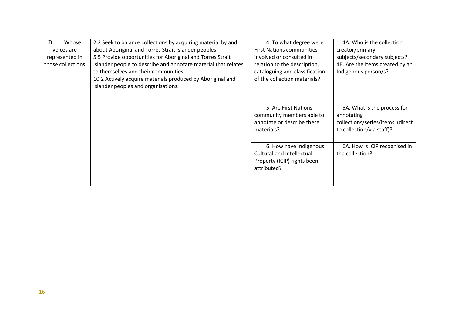| <b>B.</b><br>Whose<br>voices are<br>represented in<br>those collections | 2.2 Seek to balance collections by acquiring material by and<br>about Aboriginal and Torres Strait Islander peoples.<br>5.5 Provide opportunities for Aboriginal and Torres Strait<br>Islander people to describe and annotate material that relates<br>to themselves and their communities.<br>10.2 Actively acquire materials produced by Aboriginal and<br>Islander peoples and organisations. | 4. To what degree were<br><b>First Nations communities</b><br>involved or consulted in<br>relation to the description,<br>cataloguing and classification<br>of the collection materials? | 4A. Who is the collection<br>creator/primary<br>subjects/secondary subjects?<br>4B. Are the items created by an<br>Indigenous person/s? |
|-------------------------------------------------------------------------|---------------------------------------------------------------------------------------------------------------------------------------------------------------------------------------------------------------------------------------------------------------------------------------------------------------------------------------------------------------------------------------------------|------------------------------------------------------------------------------------------------------------------------------------------------------------------------------------------|-----------------------------------------------------------------------------------------------------------------------------------------|
|                                                                         |                                                                                                                                                                                                                                                                                                                                                                                                   | 5. Are First Nations<br>community members able to<br>annotate or describe these<br>materials?                                                                                            | 5A. What is the process for<br>annotating<br>collections/series/items (direct<br>to collection/via staff)?                              |
|                                                                         |                                                                                                                                                                                                                                                                                                                                                                                                   | 6. How have Indigenous<br>Cultural and Intellectual<br>Property (ICIP) rights been<br>attributed?                                                                                        | 6A. How is ICIP recognised in<br>the collection?                                                                                        |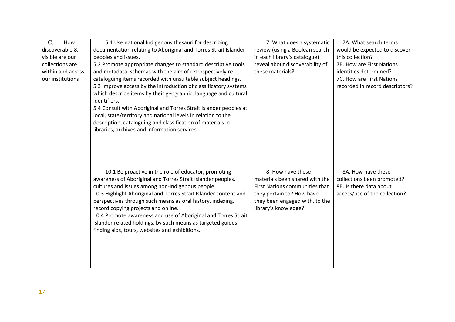| $\mathcal{C}$ .<br>How<br>discoverable &<br>visible are our<br>collections are<br>within and across<br>our institutions | 5.1 Use national Indigenous thesauri for describing<br>documentation relating to Aboriginal and Torres Strait Islander<br>peoples and issues.<br>5.2 Promote appropriate changes to standard descriptive tools<br>and metadata. schemas with the aim of retrospectively re-<br>cataloguing items recorded with unsuitable subject headings.<br>5.3 Improve access by the introduction of classificatory systems<br>which describe items by their geographic, language and cultural<br>identifiers.<br>5.4 Consult with Aboriginal and Torres Strait Islander peoples at<br>local, state/territory and national levels in relation to the<br>description, cataloguing and classification of materials in<br>libraries, archives and information services. | 7. What does a systematic<br>review (using a Boolean search<br>in each library's catalogue)<br>reveal about discoverability of<br>these materials?                           | 7A. What search terms<br>would be expected to discover<br>this collection?<br>7B. How are First Nations<br>identities determined?<br>7C. How are First Nations<br>recorded in record descriptors? |
|-------------------------------------------------------------------------------------------------------------------------|----------------------------------------------------------------------------------------------------------------------------------------------------------------------------------------------------------------------------------------------------------------------------------------------------------------------------------------------------------------------------------------------------------------------------------------------------------------------------------------------------------------------------------------------------------------------------------------------------------------------------------------------------------------------------------------------------------------------------------------------------------|------------------------------------------------------------------------------------------------------------------------------------------------------------------------------|---------------------------------------------------------------------------------------------------------------------------------------------------------------------------------------------------|
|                                                                                                                         | 10.1 Be proactive in the role of educator, promoting<br>awareness of Aboriginal and Torres Strait Islander peoples,<br>cultures and issues among non-Indigenous people.<br>10.3 Highlight Aboriginal and Torres Strait Islander content and<br>perspectives through such means as oral history, indexing,<br>record copying projects and online.<br>10.4 Promote awareness and use of Aboriginal and Torres Strait<br>Islander related holdings, by such means as targeted guides,<br>finding aids, tours, websites and exhibitions.                                                                                                                                                                                                                     | 8. How have these<br>materials been shared with the<br>First Nations communities that<br>they pertain to? How have<br>they been engaged with, to the<br>library's knowledge? | 8A. How have these<br>collections been promoted?<br>8B. Is there data about<br>access/use of the collection?                                                                                      |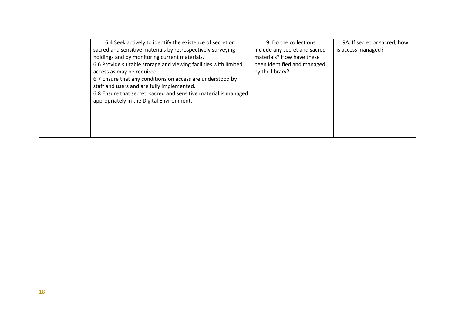| 6.4 Seek actively to identify the existence of secret or<br>sacred and sensitive materials by retrospectively surveying<br>holdings and by monitoring current materials.<br>6.6 Provide suitable storage and viewing facilities with limited<br>access as may be required.<br>6.7 Ensure that any conditions on access are understood by<br>staff and users and are fully implemented.<br>6.8 Ensure that secret, sacred and sensitive material is managed<br>appropriately in the Digital Environment. | 9. Do the collections<br>include any secret and sacred<br>materials? How have these<br>been identified and managed<br>by the library? | 9A. If secret or sacred, how<br>is access managed? |
|---------------------------------------------------------------------------------------------------------------------------------------------------------------------------------------------------------------------------------------------------------------------------------------------------------------------------------------------------------------------------------------------------------------------------------------------------------------------------------------------------------|---------------------------------------------------------------------------------------------------------------------------------------|----------------------------------------------------|
|---------------------------------------------------------------------------------------------------------------------------------------------------------------------------------------------------------------------------------------------------------------------------------------------------------------------------------------------------------------------------------------------------------------------------------------------------------------------------------------------------------|---------------------------------------------------------------------------------------------------------------------------------------|----------------------------------------------------|